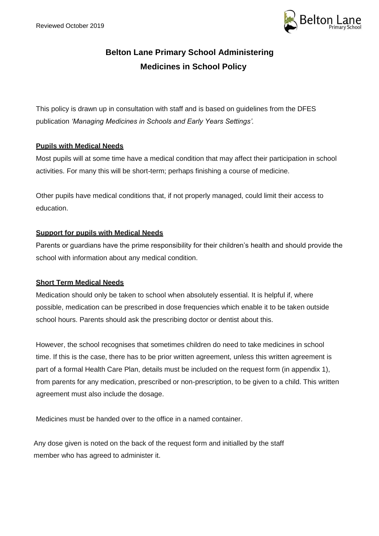

# **Belton Lane Primary School Administering Medicines in School Policy**

This policy is drawn up in consultation with staff and is based on guidelines from the DFES publication *'Managing Medicines in Schools and Early Years Settings'.*

# **Pupils with Medical Needs**

Most pupils will at some time have a medical condition that may affect their participation in school activities. For many this will be short-term; perhaps finishing a course of medicine.

Other pupils have medical conditions that, if not properly managed, could limit their access to education.

# **Support for pupils with Medical Needs**

Parents or guardians have the prime responsibility for their children's health and should provide the school with information about any medical condition.

# **Short Term Medical Needs**

Medication should only be taken to school when absolutely essential. It is helpful if, where possible, medication can be prescribed in dose frequencies which enable it to be taken outside school hours. Parents should ask the prescribing doctor or dentist about this.

However, the school recognises that sometimes children do need to take medicines in school time. If this is the case, there has to be prior written agreement, unless this written agreement is part of a formal Health Care Plan, details must be included on the request form (in appendix 1), from parents for any medication, prescribed or non-prescription, to be given to a child. This written agreement must also include the dosage.

Medicines must be handed over to the office in a named container.

Any dose given is noted on the back of the request form and initialled by the staff member who has agreed to administer it.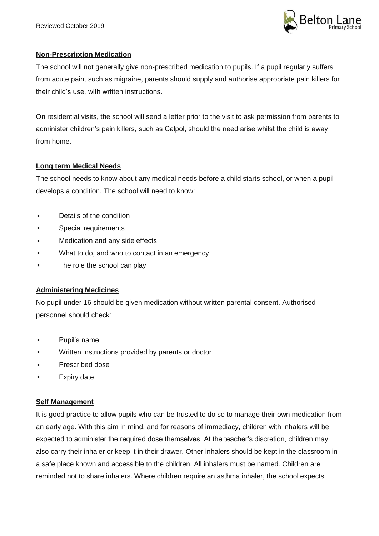

# **Non-Prescription Medication**

The school will not generally give non-prescribed medication to pupils. If a pupil regularly suffers from acute pain, such as migraine, parents should supply and authorise appropriate pain killers for their child's use, with written instructions.

On residential visits, the school will send a letter prior to the visit to ask permission from parents to administer children's pain killers, such as Calpol, should the need arise whilst the child is away from home.

# **Long term Medical Needs**

The school needs to know about any medical needs before a child starts school, or when a pupil develops a condition. The school will need to know:

- **Details of the condition**
- **Special requirements**
- **Nedication and any side effects**
- What to do, and who to contact in an emergency
- The role the school can play

# **Administering Medicines**

No pupil under 16 should be given medication without written parental consent. Authorised personnel should check:

- Pupil's name
- Written instructions provided by parents or doctor
- Prescribed dose
- Expiry date

# **Self Management**

It is good practice to allow pupils who can be trusted to do so to manage their own medication from an early age. With this aim in mind, and for reasons of immediacy, children with inhalers will be expected to administer the required dose themselves. At the teacher's discretion, children may also carry their inhaler or keep it in their drawer. Other inhalers should be kept in the classroom in a safe place known and accessible to the children. All inhalers must be named. Children are reminded not to share inhalers. Where children require an asthma inhaler, the school expects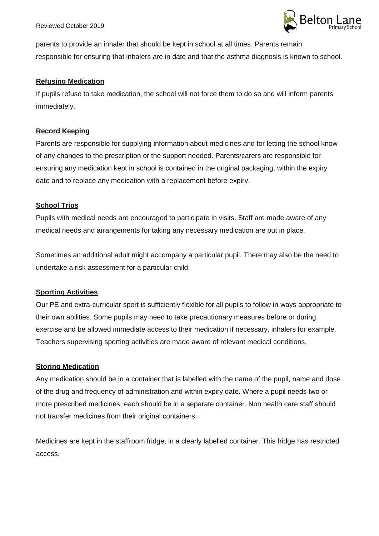

parents to provide an inhaler that should be kept in school at all times. Parents remain responsible for ensuring that inhalers are in date and that the asthma diagnosis is known to school.

#### **Refusing Medication**

If pupils refuse to take medication, the school will not force them to do so and will inform parents immediately.

#### **Record Keeping**

Parents are responsible for supplying information about medicines and for letting the school know of any changes to the prescription or the support needed. Parents/carers are responsible for ensuring any medication kept in school is contained in the original packaging, within the expiry date and to replace any medication with a replacement before expiry.

#### **School Trips**

Pupils with medical needs are encouraged to participate in visits. Staff are made aware of any medical needs and arrangements for taking any necessary medication are put in place.

Sometimes an additional adult might accompany a particular pupil. There may also be the need to undertake a risk assessment for a particular child.

# **Sporting Activities**

Our PE and extra-curricular sport is sufficiently flexible for all pupils to follow in ways appropriate to their own abilities. Some pupils may need to take precautionary measures before or during exercise and be allowed immediate access to their medication if necessary, inhalers for example. Teachers supervising sporting activities are made aware of relevant medical conditions.

# **Storing Medication**

Any medication should be in a container that is labelled with the name of the pupil, name and dose of the drug and frequency of administration and within expiry date. Where a pupil needs two or more prescribed medicines, each should be in a separate container. Non health care staff should not transfer medicines from their original containers.

Medicines are kept in the staffroom fridge, in a clearly labelled container. This fridge has restricted access.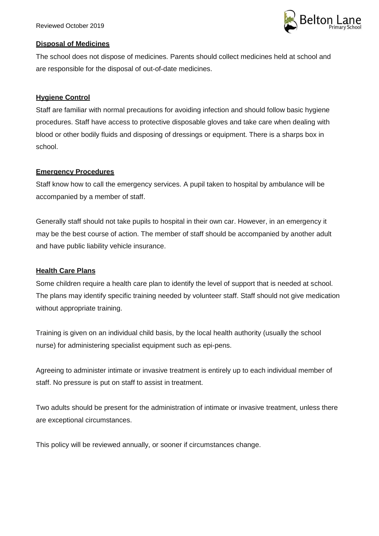

#### **Disposal of Medicines**

The school does not dispose of medicines. Parents should collect medicines held at school and are responsible for the disposal of out-of-date medicines.

# **Hygiene Control**

Staff are familiar with normal precautions for avoiding infection and should follow basic hygiene procedures. Staff have access to protective disposable gloves and take care when dealing with blood or other bodily fluids and disposing of dressings or equipment. There is a sharps box in school.

# **Emergency Procedures**

Staff know how to call the emergency services. A pupil taken to hospital by ambulance will be accompanied by a member of staff.

Generally staff should not take pupils to hospital in their own car. However, in an emergency it may be the best course of action. The member of staff should be accompanied by another adult and have public liability vehicle insurance.

# **Health Care Plans**

Some children require a health care plan to identify the level of support that is needed at school. The plans may identify specific training needed by volunteer staff. Staff should not give medication without appropriate training.

Training is given on an individual child basis, by the local health authority (usually the school nurse) for administering specialist equipment such as epi-pens.

Agreeing to administer intimate or invasive treatment is entirely up to each individual member of staff. No pressure is put on staff to assist in treatment.

Two adults should be present for the administration of intimate or invasive treatment, unless there are exceptional circumstances.

This policy will be reviewed annually, or sooner if circumstances change.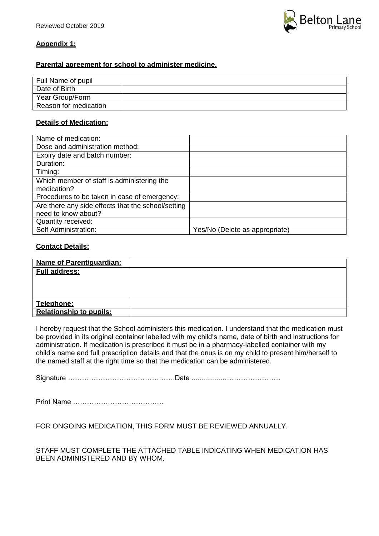

# **Appendix 1:**

# **Parental agreement for school to administer medicine.**

| Full Name of pupil    |  |
|-----------------------|--|
| Date of Birth         |  |
| Year Group/Form       |  |
| Reason for medication |  |

#### **Details of Medication:**

| Name of medication:                                |                                |  |
|----------------------------------------------------|--------------------------------|--|
| Dose and administration method:                    |                                |  |
| Expiry date and batch number:                      |                                |  |
| Duration:                                          |                                |  |
| Timing:                                            |                                |  |
| Which member of staff is administering the         |                                |  |
| medication?                                        |                                |  |
| Procedures to be taken in case of emergency:       |                                |  |
| Are there any side effects that the school/setting |                                |  |
| need to know about?                                |                                |  |
| Quantity received:                                 |                                |  |
| Self Administration:                               | Yes/No (Delete as appropriate) |  |

#### **Contact Details:**

| Name of Parent/guardian:       |  |
|--------------------------------|--|
| <b>Full address:</b>           |  |
|                                |  |
|                                |  |
|                                |  |
| Telephone:                     |  |
| <b>Relationship to pupils:</b> |  |

I hereby request that the School administers this medication. I understand that the medication must be provided in its original container labelled with my child's name, date of birth and instructions for administration. If medication is prescribed it must be in a pharmacy-labelled container with my child's name and full prescription details and that the onus is on my child to present him/herself to the named staff at the right time so that the medication can be administered.

Signature ……………………………………….Date .................……………………

Print Name …………………………………

FOR ONGOING MEDICATION, THIS FORM MUST BE REVIEWED ANNUALLY.

STAFF MUST COMPLETE THE ATTACHED TABLE INDICATING WHEN MEDICATION HAS BEEN ADMINISTERED AND BY WHOM.